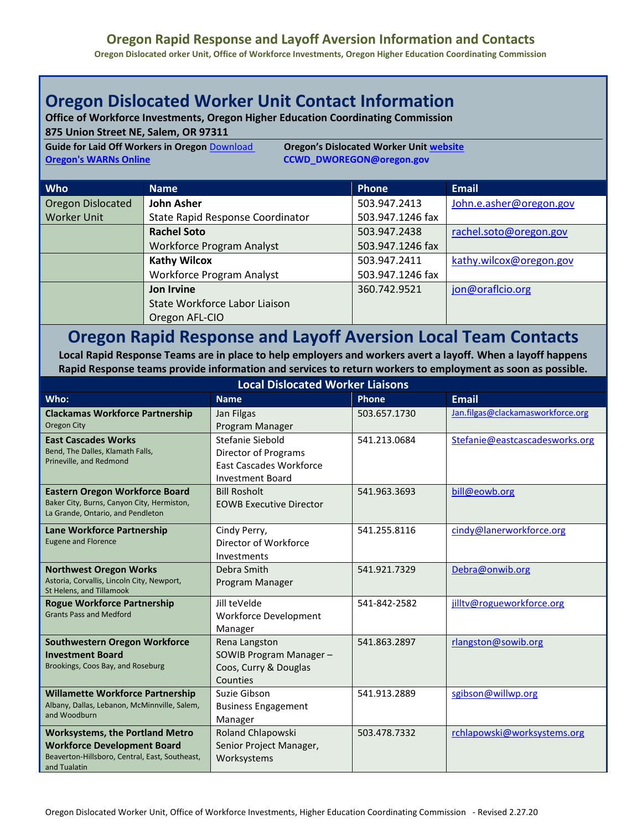## **Oregon Rapid Response and Layoff Aversion Information and Contacts**

**Oregon Dislocated orker Unit, Office of Workforce Investments, Oregon Higher Education Coordinating Commission**

## **Oregon Dislocated Worker Unit Contact Information**

**Office of Workforce Investments, Oregon Higher Education Coordinating Commission**

**875 Union Street NE, Salem, OR 97311**

**Guide for Laid Off Workers in Oregon** [Download](https://www.oregon.gov/highered/institutions-programs/workforce/Documents/Dislocated/Guide%20for%20Laid%20Off%20Workers%20in%20Oregon.docx) **Oregon's Dislocated Worker Unit [website](http://www.oregon.gov/highered/institutions-programs/workforce/Pages/dislocated-worker-program.aspx) [Oregon's WARNs Online](https://ccwd.hecc.oregon.gov/Layoff) [CCWD\\_DWOREGON@oregon.gov](mailto:CCWD_DWOREGON@oregon.gov)** 

| <b>Who</b>         | <b>Name</b>                      | <b>Phone</b>     | <b>Email</b>            |
|--------------------|----------------------------------|------------------|-------------------------|
| Oregon Dislocated  | <b>John Asher</b>                | 503.947.2413     | John.e.asher@oregon.gov |
| <b>Worker Unit</b> | State Rapid Response Coordinator | 503.947.1246 fax |                         |
|                    | <b>Rachel Soto</b>               | 503.947.2438     | rachel.soto@oregon.gov  |
|                    | <b>Workforce Program Analyst</b> | 503.947.1246 fax |                         |
|                    | <b>Kathy Wilcox</b>              | 503.947.2411     | kathy.wilcox@oregon.gov |
|                    | Workforce Program Analyst        | 503.947.1246 fax |                         |
|                    | Jon Irvine                       | 360.742.9521     | jon@oraflcio.org        |
|                    | State Workforce Labor Liaison    |                  |                         |
|                    | Oregon AFL-CIO                   |                  |                         |

## **Oregon Rapid Response and Layoff Aversion Local Team Contacts**

**Local Rapid Response Teams are in place to help employers and workers avert a layoff. When a layoff happens Rapid Response teams provide information and services to return workers to employment as soon as possible.**

| <b>Local Dislocated Worker Liaisons</b>                                                                                                        |                                                                                                       |              |                                   |  |  |
|------------------------------------------------------------------------------------------------------------------------------------------------|-------------------------------------------------------------------------------------------------------|--------------|-----------------------------------|--|--|
| Who:                                                                                                                                           | <b>Name</b>                                                                                           | <b>Phone</b> | <b>Email</b>                      |  |  |
| <b>Clackamas Workforce Partnership</b><br><b>Oregon City</b>                                                                                   | Jan Filgas<br>Program Manager                                                                         | 503.657.1730 | Jan.filgas@clackamasworkforce.org |  |  |
| <b>East Cascades Works</b><br>Bend, The Dalles, Klamath Falls,<br>Prineville, and Redmond                                                      | Stefanie Siebold<br>Director of Programs<br><b>East Cascades Workforce</b><br><b>Investment Board</b> | 541.213.0684 | Stefanie@eastcascadesworks.org    |  |  |
| <b>Eastern Oregon Workforce Board</b><br>Baker City, Burns, Canyon City, Hermiston,<br>La Grande, Ontario, and Pendleton                       | <b>Bill Rosholt</b><br><b>EOWB Executive Director</b>                                                 | 541.963.3693 | bill@eowb.org                     |  |  |
| Lane Workforce Partnership<br><b>Eugene and Florence</b>                                                                                       | Cindy Perry,<br>Director of Workforce<br>Investments                                                  | 541.255.8116 | cindy@lanerworkforce.org          |  |  |
| <b>Northwest Oregon Works</b><br>Astoria, Corvallis, Lincoln City, Newport,<br>St Helens, and Tillamook                                        | Debra Smith<br>Program Manager                                                                        | 541.921.7329 | Debra@onwib.org                   |  |  |
| <b>Rogue Workforce Partnership</b><br><b>Grants Pass and Medford</b>                                                                           | Jill teVelde<br><b>Workforce Development</b><br>Manager                                               | 541-842-2582 | jilltv@rogueworkforce.org         |  |  |
| Southwestern Oregon Workforce<br><b>Investment Board</b><br>Brookings, Coos Bay, and Roseburg                                                  | Rena Langston<br>SOWIB Program Manager-<br>Coos, Curry & Douglas<br>Counties                          | 541.863.2897 | rlangston@sowib.org               |  |  |
| <b>Willamette Workforce Partnership</b><br>Albany, Dallas, Lebanon, McMinnville, Salem,<br>and Woodburn                                        | Suzie Gibson<br><b>Business Engagement</b><br>Manager                                                 | 541.913.2889 | sgibson@willwp.org                |  |  |
| <b>Worksystems, the Portland Metro</b><br><b>Workforce Development Board</b><br>Beaverton-Hillsboro, Central, East, Southeast,<br>and Tualatin | Roland Chlapowski<br>Senior Project Manager,<br>Worksystems                                           | 503.478.7332 | rchlapowski@worksystems.org       |  |  |